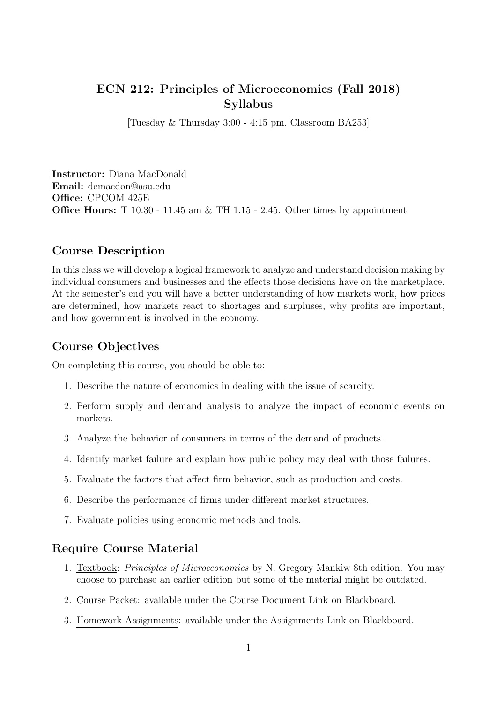### ECN 212: Principles of Microeconomics (Fall 2018) Syllabus

[Tuesday & Thursday 3:00 - 4:15 pm, Classroom BA253]

Instructor: Diana MacDonald Email: demacdon@asu.edu Office: CPCOM 425E Office Hours: T 10.30 - 11.45 am & TH 1.15 - 2.45. Other times by appointment

### Course Description

In this class we will develop a logical framework to analyze and understand decision making by individual consumers and businesses and the effects those decisions have on the marketplace. At the semester's end you will have a better understanding of how markets work, how prices are determined, how markets react to shortages and surpluses, why profits are important, and how government is involved in the economy.

#### Course Objectives

On completing this course, you should be able to:

- 1. Describe the nature of economics in dealing with the issue of scarcity.
- 2. Perform supply and demand analysis to analyze the impact of economic events on markets.
- 3. Analyze the behavior of consumers in terms of the demand of products.
- 4. Identify market failure and explain how public policy may deal with those failures.
- 5. Evaluate the factors that affect firm behavior, such as production and costs.
- 6. Describe the performance of firms under different market structures.
- 7. Evaluate policies using economic methods and tools.

#### Require Course Material

- 1. Textbook: Principles of Microeconomics by N. Gregory Mankiw 8th edition. You may choose to purchase an earlier edition but some of the material might be outdated.
- 2. Course Packet: available under the Course Document Link on Blackboard.
- 3. Homework Assignments: available under the Assignments Link on Blackboard.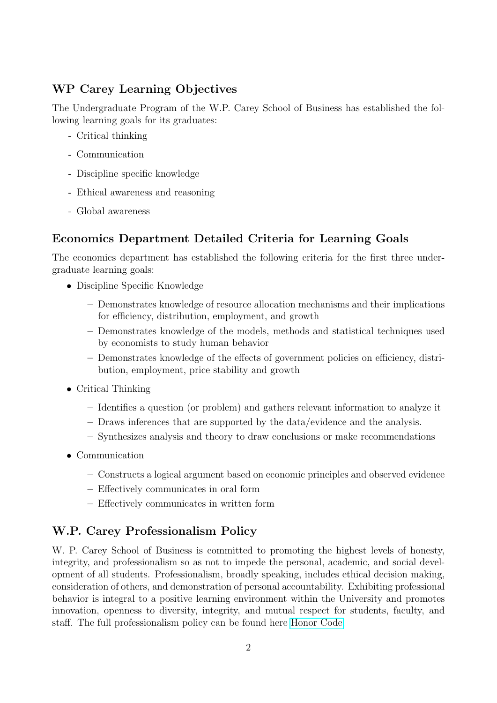## WP Carey Learning Objectives

The Undergraduate Program of the W.P. Carey School of Business has established the following learning goals for its graduates:

- Critical thinking
- Communication
- Discipline specific knowledge
- Ethical awareness and reasoning
- Global awareness

# Economics Department Detailed Criteria for Learning Goals

The economics department has established the following criteria for the first three undergraduate learning goals:

- Discipline Specific Knowledge
	- Demonstrates knowledge of resource allocation mechanisms and their implications for efficiency, distribution, employment, and growth
	- Demonstrates knowledge of the models, methods and statistical techniques used by economists to study human behavior
	- Demonstrates knowledge of the effects of government policies on efficiency, distribution, employment, price stability and growth
- Critical Thinking
	- Identifies a question (or problem) and gathers relevant information to analyze it
	- Draws inferences that are supported by the data/evidence and the analysis.
	- Synthesizes analysis and theory to draw conclusions or make recommendations
- Communication
	- Constructs a logical argument based on economic principles and observed evidence
	- Effectively communicates in oral form
	- Effectively communicates in written form

# W.P. Carey Professionalism Policy

W. P. Carey School of Business is committed to promoting the highest levels of honesty, integrity, and professionalism so as not to impede the personal, academic, and social development of all students. Professionalism, broadly speaking, includes ethical decision making, consideration of others, and demonstration of personal accountability. Exhibiting professional behavior is integral to a positive learning environment within the University and promotes innovation, openness to diversity, integrity, and mutual respect for students, faculty, and staff. The full professionalism policy can be found here [Honor Code.](https://students.wpcarey.asu.edu/resources/honor-code)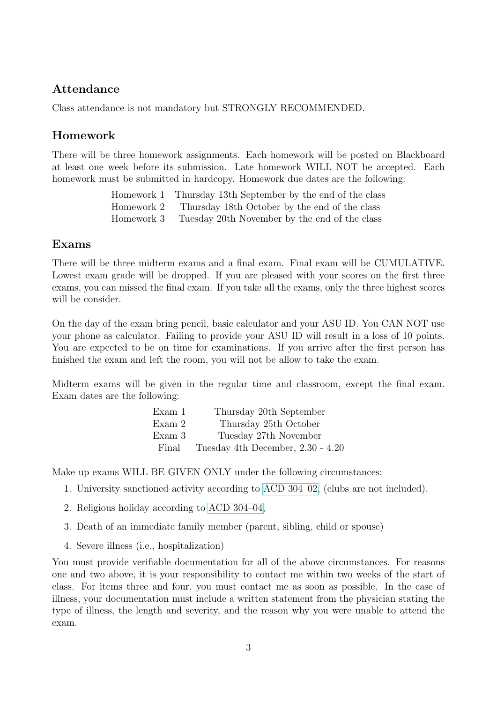### Attendance

Class attendance is not mandatory but STRONGLY RECOMMENDED.

### Homework

There will be three homework assignments. Each homework will be posted on Blackboard at least one week before its submission. Late homework WILL NOT be accepted. Each homework must be submitted in hardcopy. Homework due dates are the following:

> Homework 1 Thursday 13th September by the end of the class Homework 2 Thursday 18th October by the end of the class Homework 3 Tuesday 20th November by the end of the class

### Exams

There will be three midterm exams and a final exam. Final exam will be CUMULATIVE. Lowest exam grade will be dropped. If you are pleased with your scores on the first three exams, you can missed the final exam. If you take all the exams, only the three highest scores will be consider.

On the day of the exam bring pencil, basic calculator and your ASU ID. You CAN NOT use your phone as calculator. Failing to provide your ASU ID will result in a loss of 10 points. You are expected to be on time for examinations. If you arrive after the first person has finished the exam and left the room, you will not be allow to take the exam.

Midterm exams will be given in the regular time and classroom, except the final exam. Exam dates are the following:

| Exam 1 | Thursday 20th September           |
|--------|-----------------------------------|
| Exam 2 | Thursday 25th October             |
| Exam 3 | Tuesday 27th November             |
| Final  | Tuesday 4th December, 2.30 - 4.20 |

Make up exams WILL BE GIVEN ONLY under the following circumstances:

- 1. University sanctioned activity according to [ACD 304–02,](https://www.asu.edu/aad/manuals/acd/acd304-02.html) (clubs are not included).
- 2. Religious holiday according to [ACD 304–04,](https://www.asu.edu/aad/manuals/acd/acd304-04.html)
- 3. Death of an immediate family member (parent, sibling, child or spouse)
- 4. Severe illness (i.e., hospitalization)

You must provide verifiable documentation for all of the above circumstances. For reasons one and two above, it is your responsibility to contact me within two weeks of the start of class. For items three and four, you must contact me as soon as possible. In the case of illness, your documentation must include a written statement from the physician stating the type of illness, the length and severity, and the reason why you were unable to attend the exam.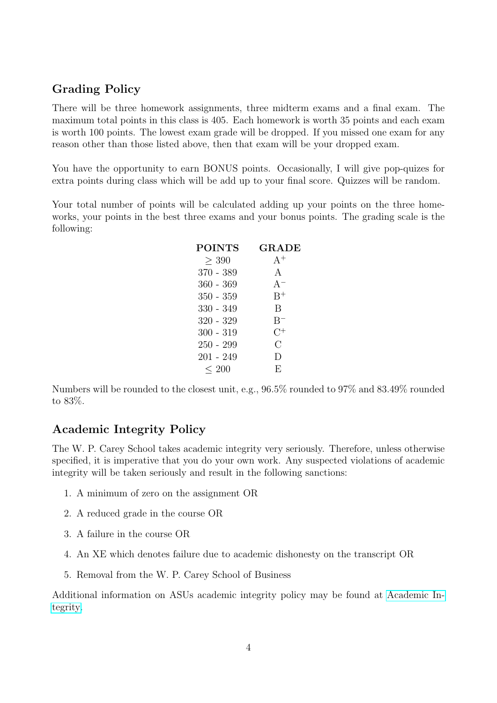### Grading Policy

There will be three homework assignments, three midterm exams and a final exam. The maximum total points in this class is 405. Each homework is worth 35 points and each exam is worth 100 points. The lowest exam grade will be dropped. If you missed one exam for any reason other than those listed above, then that exam will be your dropped exam.

You have the opportunity to earn BONUS points. Occasionally, I will give pop-quizes for extra points during class which will be add up to your final score. Quizzes will be random.

Your total number of points will be calculated adding up your points on the three homeworks, your points in the best three exams and your bonus points. The grading scale is the following:

| <b>POINTS</b> | <b>GRADE</b> |  |
|---------------|--------------|--|
| > 390         | $A^+$        |  |
| $370 - 389$   | $\mathbf{A}$ |  |
| 360 - 369     | $A^{-}$      |  |
| $350 - 359$   | $B^+$        |  |
| 330 - 349     | R            |  |
| $320 - 329$   | $B^-$        |  |
| $300 - 319$   | $C^+$        |  |
| $250 - 299$   | С            |  |
| 201 - 249     | D            |  |
| $\leq 200$    | E,           |  |

Numbers will be rounded to the closest unit, e.g., 96.5% rounded to 97% and 83.49% rounded to 83%.

### Academic Integrity Policy

The W. P. Carey School takes academic integrity very seriously. Therefore, unless otherwise specified, it is imperative that you do your own work. Any suspected violations of academic integrity will be taken seriously and result in the following sanctions:

- 1. A minimum of zero on the assignment OR
- 2. A reduced grade in the course OR
- 3. A failure in the course OR
- 4. An XE which denotes failure due to academic dishonesty on the transcript OR
- 5. Removal from the W. P. Carey School of Business

Additional information on ASUs academic integrity policy may be found at [Academic In](http://provost.asu.edu/academicintegrit)[tegrity.](http://provost.asu.edu/academicintegrit)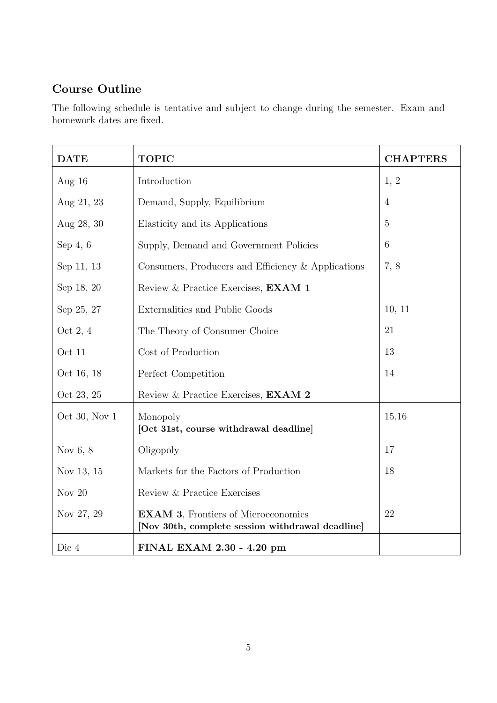# Course Outline

The following schedule is tentative and subject to change during the semester. Exam and homework dates are fixed.

| <b>DATE</b>   | <b>TOPIC</b>                                                                                   | <b>CHAPTERS</b> |
|---------------|------------------------------------------------------------------------------------------------|-----------------|
| Aug $16$      | Introduction                                                                                   | 1, 2            |
| Aug 21, 23    | Demand, Supply, Equilibrium                                                                    | $\overline{4}$  |
| Aug 28, 30    | Elasticity and its Applications                                                                | $\overline{5}$  |
| Sep $4, 6$    | Supply, Demand and Government Policies                                                         | 6               |
| Sep 11, 13    | Consumers, Producers and Efficiency & Applications                                             | 7, 8            |
| Sep 18, 20    | Review & Practice Exercises, EXAM 1                                                            |                 |
| Sep 25, 27    | Externalities and Public Goods                                                                 | 10, 11          |
| Oct 2, 4      | The Theory of Consumer Choice                                                                  | 21              |
| Oct 11        | Cost of Production                                                                             | 13              |
| Oct 16, 18    | Perfect Competition                                                                            | 14              |
| Oct 23, 25    | Review & Practice Exercises, EXAM 2                                                            |                 |
| Oct 30, Nov 1 | Monopoly<br>[Oct 31st, course withdrawal deadline]                                             | 15,16           |
| Nov $6, 8$    | Oligopoly                                                                                      | 17              |
| Nov 13, 15    | Markets for the Factors of Production                                                          | 18              |
| Nov $20$      | Review & Practice Exercises                                                                    |                 |
| Nov 27, 29    | <b>EXAM 3, Frontiers of Microeconomics</b><br>[Nov 30th, complete session withdrawal deadline] | 22              |
| Dic 4         | FINAL EXAM 2.30 - 4.20 pm                                                                      |                 |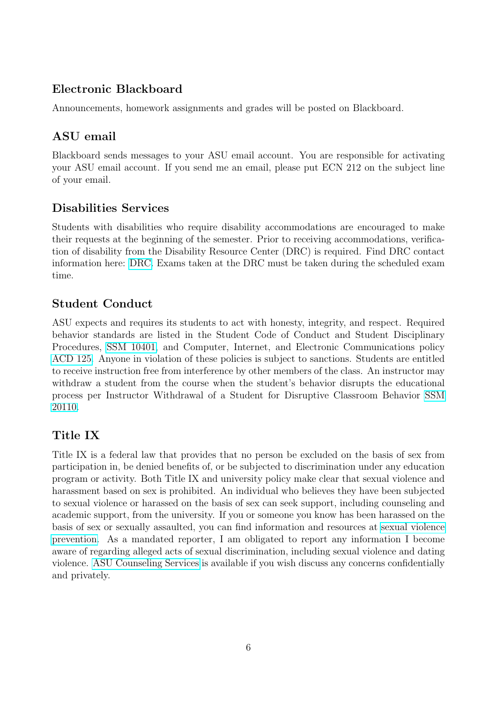## Electronic Blackboard

Announcements, homework assignments and grades will be posted on Blackboard.

# ASU email

Blackboard sends messages to your ASU email account. You are responsible for activating your ASU email account. If you send me an email, please put ECN 212 on the subject line of your email.

# Disabilities Services

Students with disabilities who require disability accommodations are encouraged to make their requests at the beginning of the semester. Prior to receiving accommodations, verification of disability from the Disability Resource Center (DRC) is required. Find DRC contact information here: [DRC.](https://eoss.asu.edu/drc) Exams taken at the DRC must be taken during the scheduled exam time.

## Student Conduct

ASU expects and requires its students to act with honesty, integrity, and respect. Required behavior standards are listed in the Student Code of Conduct and Student Disciplinary Procedures, [SSM 10401,](https://www.asu.edu/aad/manuals/ssm/ssm104-02.html) and Computer, Internet, and Electronic Communications policy [ACD 125.](https://www.asu.edu/aad/manuals/acd/acd125.html) Anyone in violation of these policies is subject to sanctions. Students are entitled to receive instruction free from interference by other members of the class. An instructor may withdraw a student from the course when the student's behavior disrupts the educational process per Instructor Withdrawal of a Student for Disruptive Classroom Behavior [SSM](https://www.asu.edu/aad/manuals/ssm/ssm201-10.html) [20110.](https://www.asu.edu/aad/manuals/ssm/ssm201-10.html)

# Title IX

Title IX is a federal law that provides that no person be excluded on the basis of sex from participation in, be denied benefits of, or be subjected to discrimination under any education program or activity. Both Title IX and university policy make clear that sexual violence and harassment based on sex is prohibited. An individual who believes they have been subjected to sexual violence or harassed on the basis of sex can seek support, including counseling and academic support, from the university. If you or someone you know has been harassed on the basis of sex or sexually assaulted, you can find information and resources at [sexual violence](https://sexualviolenceprevention.asu.edu/faqs/students) [prevention.](https://sexualviolenceprevention.asu.edu/faqs/students) As a mandated reporter, I am obligated to report any information I become aware of regarding alleged acts of sexual discrimination, including sexual violence and dating violence. [ASU Counseling Services]( https://eoss.asu.edu/counseling) is available if you wish discuss any concerns confidentially and privately.